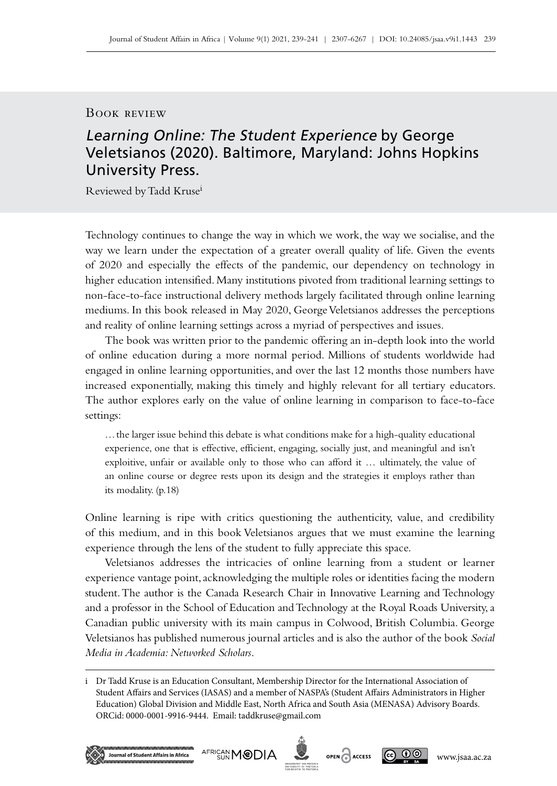## Book review

## Learning Online: The Student Experience by George Veletsianos (2020). Baltimore, Maryland: Johns Hopkins University Press.

Reviewed by Tadd Krusei

Technology continues to change the way in which we work, the way we socialise, and the way we learn under the expectation of a greater overall quality of life. Given the events of 2020 and especially the effects of the pandemic, our dependency on technology in higher education intensified. Many institutions pivoted from traditional learning settings to non-face-to-face instructional delivery methods largely facilitated through online learning mediums. In this book released in May 2020, George Veletsianos addresses the perceptions and reality of online learning settings across a myriad of perspectives and issues.

The book was written prior to the pandemic offering an in‑depth look into the world of online education during a more normal period. Millions of students worldwide had engaged in online learning opportunities, and over the last 12 months those numbers have increased exponentially, making this timely and highly relevant for all tertiary educators. The author explores early on the value of online learning in comparison to face-to-face settings:

…the larger issue behind this debate is what conditions make for a high-quality educational experience, one that is effective, efficient, engaging, socially just, and meaningful and isn't exploitive, unfair or available only to those who can afford it … ultimately, the value of an online course or degree rests upon its design and the strategies it employs rather than its modality. (p.18)

Online learning is ripe with critics questioning the authenticity, value, and credibility of this medium, and in this book Veletsianos argues that we must examine the learning experience through the lens of the student to fully appreciate this space.

Veletsianos addresses the intricacies of online learning from a student or learner experience vantage point, acknowledging the multiple roles or identities facing the modern student. The author is the Canada Research Chair in Innovative Learning and Technology and a professor in the School of Education and Technology at the Royal Roads University, a Canadian public university with its main campus in Colwood, British Columbia. George Veletsianos has published numerous journal articles and is also the author of the book *Social Media in Academia: Networked Scholars*.

i Dr Tadd Kruse is an Education Consultant, Membership Director for the International Association of Student Affairs and Services (IASAS) and a member of NASPA's (Student Affairs Administrators in Higher Education) Global Division and Middle East, North Africa and South Asia (MENASA) Advisory Boards. ORCid: 0000-0001-9916-9444. Email: [taddkruse@gmail.com](mailto:taddkruse%40gmail.com?subject=)





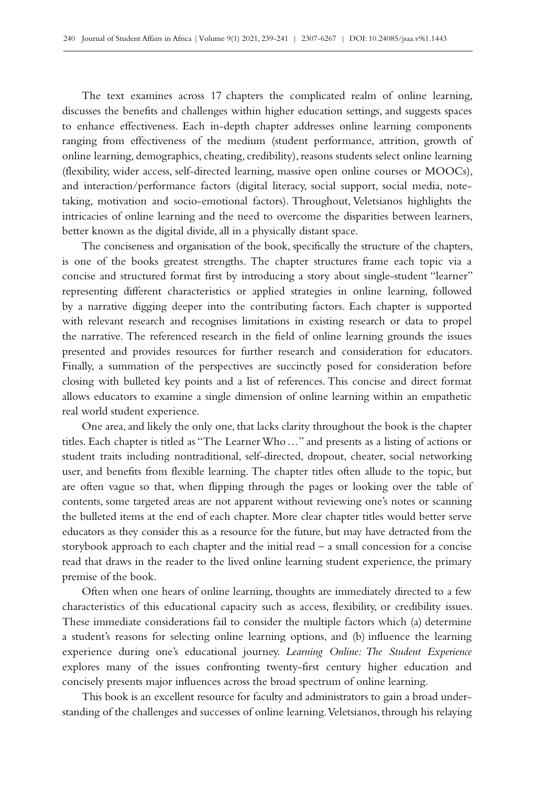The text examines across 17 chapters the complicated realm of online learning, discusses the benefits and challenges within higher education settings, and suggests spaces to enhance effectiveness. Each in‑depth chapter addresses online learning components ranging from effectiveness of the medium (student performance, attrition, growth of online learning, demographics, cheating, credibility), reasons students select online learning (flexibility, wider access, self-directed learning, massive open online courses or MOOCs), and interaction/performance factors (digital literacy, social support, social media, notetaking, motivation and socio-emotional factors). Throughout, Veletsianos highlights the intricacies of online learning and the need to overcome the disparities between learners, better known as the digital divide, all in a physically distant space.

The conciseness and organisation of the book, specifically the structure of the chapters, is one of the books greatest strengths. The chapter structures frame each topic via a concise and structured format first by introducing a story about single-student "learner" representing different characteristics or applied strategies in online learning, followed by a narrative digging deeper into the contributing factors. Each chapter is supported with relevant research and recognises limitations in existing research or data to propel the narrative. The referenced research in the field of online learning grounds the issues presented and provides resources for further research and consideration for educators. Finally, a summation of the perspectives are succinctly posed for consideration before closing with bulleted key points and a list of references. This concise and direct format allows educators to examine a single dimension of online learning within an empathetic real world student experience.

One area, and likely the only one, that lacks clarity throughout the book is the chapter titles. Each chapter is titled as "The Learner Who…" and presents as a listing of actions or student traits including nontraditional, self-directed, dropout, cheater, social networking user, and benefits from flexible learning. The chapter titles often allude to the topic, but are often vague so that, when flipping through the pages or looking over the table of contents, some targeted areas are not apparent without reviewing one's notes or scanning the bulleted items at the end of each chapter. More clear chapter titles would better serve educators as they consider this as a resource for the future, but may have detracted from the storybook approach to each chapter and the initial read – a small concession for a concise read that draws in the reader to the lived online learning student experience, the primary premise of the book.

Often when one hears of online learning, thoughts are immediately directed to a few characteristics of this educational capacity such as access, flexibility, or credibility issues. These immediate considerations fail to consider the multiple factors which (a) determine a student's reasons for selecting online learning options, and (b) influence the learning experience during one's educational journey. *Learning Online: The Student Experience* explores many of the issues confronting twenty-first century higher education and concisely presents major influences across the broad spectrum of online learning.

This book is an excellent resource for faculty and administrators to gain a broad under‑ standing of the challenges and successes of online learning. Veletsianos, through his relaying